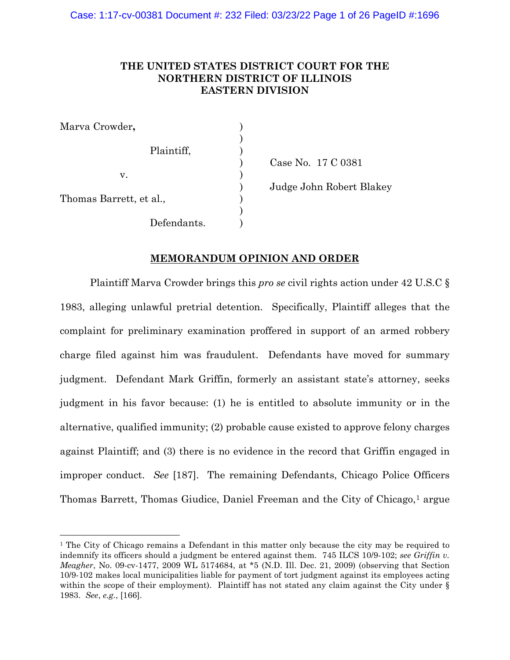# **THE UNITED STATES DISTRICT COURT FOR THE NORTHERN DISTRICT OF ILLINOIS EASTERN DIVISION**

| Marva Crowder,          |             |  |
|-------------------------|-------------|--|
|                         | Plaintiff,  |  |
| v.                      |             |  |
| Thomas Barrett, et al., |             |  |
|                         | Defendants. |  |

) Case No. 17 C 0381 ) Judge John Robert Blakey

## **MEMORANDUM OPINION AND ORDER**

Plaintiff Marva Crowder brings this *pro se* civil rights action under 42 U.S.C § 1983, alleging unlawful pretrial detention. Specifically, Plaintiff alleges that the complaint for preliminary examination proffered in support of an armed robbery charge filed against him was fraudulent. Defendants have moved for summary judgment. Defendant Mark Griffin, formerly an assistant state's attorney, seeks judgment in his favor because: (1) he is entitled to absolute immunity or in the alternative, qualified immunity; (2) probable cause existed to approve felony charges against Plaintiff; and (3) there is no evidence in the record that Griffin engaged in improper conduct. *See* [187]. The remaining Defendants, Chicago Police Officers Thomas Barrett, Thomas Giudice, Daniel Freeman and the City of Chicago,<sup>[1](#page-0-0)</sup> argue

<span id="page-0-0"></span><sup>1</sup> The City of Chicago remains a Defendant in this matter only because the city may be required to indemnify its officers should a judgment be entered against them. 745 ILCS 10/9-102; *see Griffin v. Meagher*, No. 09-cv-1477, 2009 WL 5174684, at \*5 (N.D. Ill. Dec. 21, 2009) (observing that Section 10/9-102 makes local municipalities liable for payment of tort judgment against its employees acting within the scope of their employment). Plaintiff has not stated any claim against the City under § 1983. *See*, *e.g.*, [166].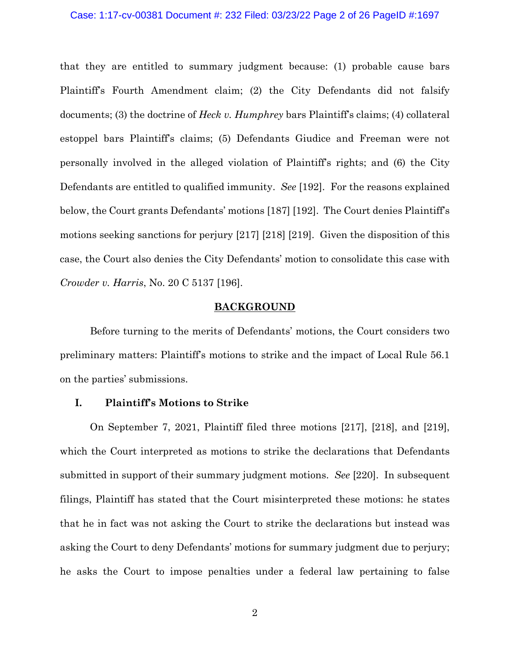#### Case: 1:17-cv-00381 Document #: 232 Filed: 03/23/22 Page 2 of 26 PageID #:1697

that they are entitled to summary judgment because: (1) probable cause bars Plaintiff's Fourth Amendment claim; (2) the City Defendants did not falsify documents; (3) the doctrine of *Heck v. Humphrey* bars Plaintiff's claims; (4) collateral estoppel bars Plaintiff's claims; (5) Defendants Giudice and Freeman were not personally involved in the alleged violation of Plaintiff's rights; and (6) the City Defendants are entitled to qualified immunity. *See* [192]. For the reasons explained below, the Court grants Defendants' motions [187] [192]. The Court denies Plaintiff's motions seeking sanctions for perjury [217] [218] [219]. Given the disposition of this case, the Court also denies the City Defendants' motion to consolidate this case with *Crowder v. Harris*, No. 20 C 5137 [196].

## **BACKGROUND**

Before turning to the merits of Defendants' motions, the Court considers two preliminary matters: Plaintiff's motions to strike and the impact of Local Rule 56.1 on the parties' submissions.

## **I. Plaintiff's Motions to Strike**

On September 7, 2021, Plaintiff filed three motions [217], [218], and [219], which the Court interpreted as motions to strike the declarations that Defendants submitted in support of their summary judgment motions. *See* [220]. In subsequent filings, Plaintiff has stated that the Court misinterpreted these motions: he states that he in fact was not asking the Court to strike the declarations but instead was asking the Court to deny Defendants' motions for summary judgment due to perjury; he asks the Court to impose penalties under a federal law pertaining to false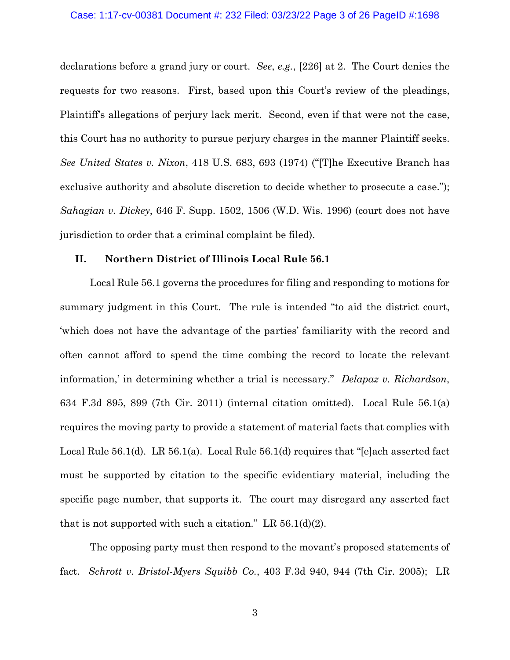#### Case: 1:17-cv-00381 Document #: 232 Filed: 03/23/22 Page 3 of 26 PageID #:1698

declarations before a grand jury or court. *See*, *e.g.*, [226] at 2. The Court denies the requests for two reasons. First, based upon this Court's review of the pleadings, Plaintiff's allegations of perjury lack merit. Second, even if that were not the case, this Court has no authority to pursue perjury charges in the manner Plaintiff seeks. *See United States v. Nixon*, 418 U.S. 683, 693 (1974) ("[T]he Executive Branch has exclusive authority and absolute discretion to decide whether to prosecute a case."); *Sahagian v. Dickey*, 646 F. Supp. 1502, 1506 (W.D. Wis. 1996) (court does not have jurisdiction to order that a criminal complaint be filed).

## **II. Northern District of Illinois Local Rule 56.1**

Local Rule 56.1 governs the procedures for filing and responding to motions for summary judgment in this Court. The rule is intended "to aid the district court, 'which does not have the advantage of the parties' familiarity with the record and often cannot afford to spend the time combing the record to locate the relevant information,' in determining whether a trial is necessary." *Delapaz v. Richardson*, 634 F.3d 895, 899 (7th Cir. 2011) (internal citation omitted).Local Rule 56.1(a) requires the moving party to provide a statement of material facts that complies with Local Rule 56.1(d). LR 56.1(a). Local Rule 56.1(d) requires that "[e]ach asserted fact must be supported by citation to the specific evidentiary material, including the specific page number, that supports it. The court may disregard any asserted fact that is not supported with such a citation." LR  $56.1\text{(d)}(2)$ .

The opposing party must then respond to the movant's proposed statements of fact. *[Schrott v. Bristol-Myers Squibb Co.](https://web2.westlaw.com/find/default.wl?mt=Westlaw&db=0000506&tc=-1&rp=%2ffind%2fdefault.wl&findtype=Y&ordoc=2036243492&serialnum=2006464425&vr=2.0&fn=_top&sv=Split&tf=-1&referencepositiontype=S&pbc=5AA5E9CC&referenceposition=944&rs=WLW15.04)*[, 403 F.3d 940, 944 \(7th Cir. 2005\);](https://web2.westlaw.com/find/default.wl?mt=Westlaw&db=0000506&tc=-1&rp=%2ffind%2fdefault.wl&findtype=Y&ordoc=2036243492&serialnum=2006464425&vr=2.0&fn=_top&sv=Split&tf=-1&referencepositiontype=S&pbc=5AA5E9CC&referenceposition=944&rs=WLW15.04) LR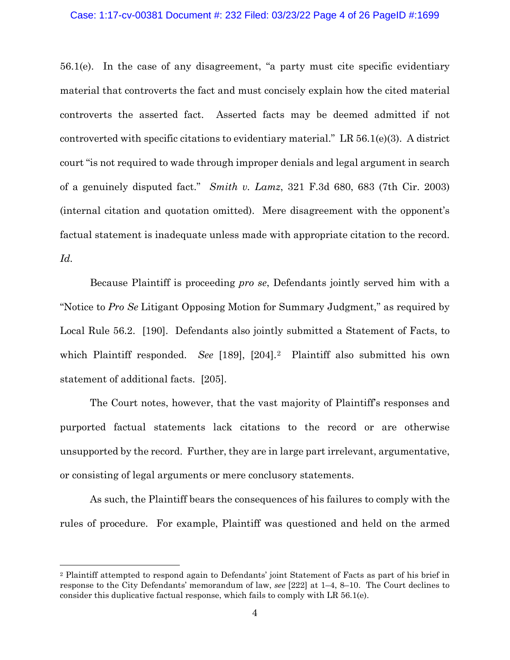### Case: 1:17-cv-00381 Document #: 232 Filed: 03/23/22 Page 4 of 26 PageID #:1699

56.1(e). In the case of any disagreement, "a party must cite specific evidentiary material that controverts the fact and must concisely explain how the cited material controverts the asserted fact. Asserted facts may be deemed admitted if not controverted with specific citations to evidentiary material." LR 56.1(e)(3). A district court "is not required to wade through improper denials and legal argument in search of a genuinely disputed fact." *Smith v. Lamz*, 321 F.3d 680, 683 (7th Cir. 2003) (internal citation and quotation omitted). Mere disagreement with the opponent's factual statement is inadequate unless made with appropriate citation to the record. *Id.*

Because Plaintiff is proceeding *pro se*, Defendants jointly served him with a "Notice to *Pro Se* Litigant Opposing Motion for Summary Judgment," as required by Local Rule 56.2. [190]. Defendants also jointly submitted a Statement of Facts, to which Plaintiff responded. *See* [189], [[2](#page-3-0)04].<sup>2</sup> Plaintiff also submitted his own statement of additional facts. [205].

The Court notes, however, that the vast majority of Plaintiff's responses and purported factual statements lack citations to the record or are otherwise unsupported by the record. Further, they are in large part irrelevant, argumentative, or consisting of legal arguments or mere conclusory statements.

As such, the Plaintiff bears the consequences of his failures to comply with the rules of procedure. For example, Plaintiff was questioned and held on the armed

<span id="page-3-0"></span><sup>2</sup> Plaintiff attempted to respond again to Defendants' joint Statement of Facts as part of his brief in response to the City Defendants' memorandum of law, *see* [222] at 1–4, 8–10. The Court declines to consider this duplicative factual response, which fails to comply with LR 56.1(e).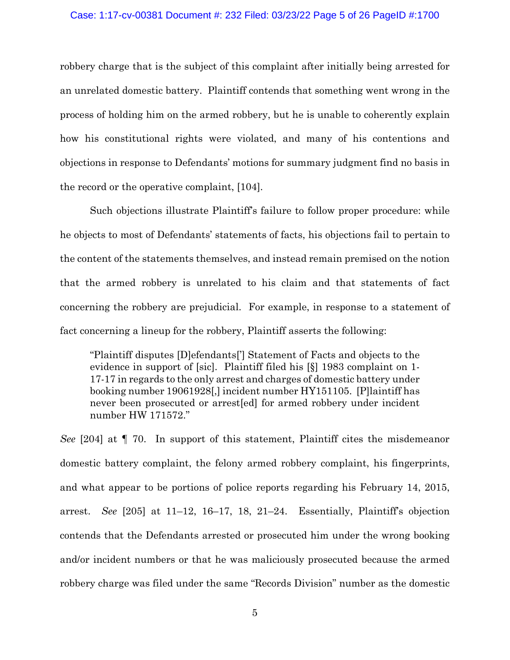#### Case: 1:17-cv-00381 Document #: 232 Filed: 03/23/22 Page 5 of 26 PageID #:1700

robbery charge that is the subject of this complaint after initially being arrested for an unrelated domestic battery. Plaintiff contends that something went wrong in the process of holding him on the armed robbery, but he is unable to coherently explain how his constitutional rights were violated, and many of his contentions and objections in response to Defendants' motions for summary judgment find no basis in the record or the operative complaint, [104].

Such objections illustrate Plaintiff's failure to follow proper procedure: while he objects to most of Defendants' statements of facts, his objections fail to pertain to the content of the statements themselves, and instead remain premised on the notion that the armed robbery is unrelated to his claim and that statements of fact concerning the robbery are prejudicial. For example, in response to a statement of fact concerning a lineup for the robbery, Plaintiff asserts the following:

"Plaintiff disputes [D]efendants['] Statement of Facts and objects to the evidence in support of [sic]. Plaintiff filed his [§] 1983 complaint on 1- 17-17 in regards to the only arrest and charges of domestic battery under booking number 19061928[,] incident number HY151105. [P]laintiff has never been prosecuted or arrest[ed] for armed robbery under incident number HW 171572."

*See* [204] at ¶ 70. In support of this statement, Plaintiff cites the misdemeanor domestic battery complaint, the felony armed robbery complaint, his fingerprints, and what appear to be portions of police reports regarding his February 14, 2015, arrest. *See* [205] at 11–12, 16–17, 18, 21–24. Essentially, Plaintiff's objection contends that the Defendants arrested or prosecuted him under the wrong booking and/or incident numbers or that he was maliciously prosecuted because the armed robbery charge was filed under the same "Records Division" number as the domestic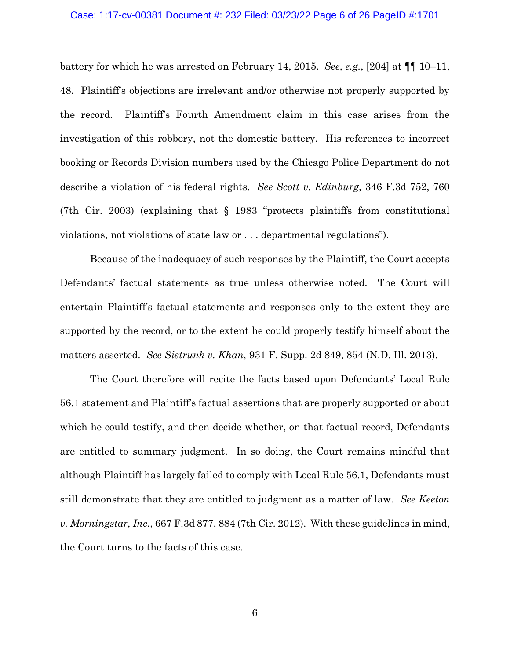#### Case: 1:17-cv-00381 Document #: 232 Filed: 03/23/22 Page 6 of 26 PageID #:1701

battery for which he was arrested on February 14, 2015. *See*, *e.g.*, [204] at ¶¶ 10–11, 48. Plaintiff's objections are irrelevant and/or otherwise not properly supported by the record. Plaintiff's Fourth Amendment claim in this case arises from the investigation of this robbery, not the domestic battery. His references to incorrect booking or Records Division numbers used by the Chicago Police Department do not describe a violation of his federal rights. *See Scott v. Edinburg,* 346 F.3d 752, 760 (7th Cir. 2003) (explaining that § 1983 "protects plaintiffs from constitutional violations, not violations of state law or . . . departmental regulations").

Because of the inadequacy of such responses by the Plaintiff, the Court accepts Defendants' factual statements as true unless otherwise noted. The Court will entertain Plaintiff's factual statements and responses only to the extent they are supported by the record, or to the extent he could properly testify himself about the matters asserted. *See Sistrunk v. Khan*, 931 F. Supp. 2d 849, 854 (N.D. Ill. 2013).

The Court therefore will recite the facts based upon Defendants' Local Rule 56.1 statement and Plaintiff's factual assertions that are properly supported or about which he could testify, and then decide whether, on that factual record, Defendants are entitled to summary judgment. In so doing, the Court remains mindful that although Plaintiff has largely failed to comply with Local Rule 56.1, Defendants must still demonstrate that they are entitled to judgment as a matter of law. *See Keeton v. Morningstar, Inc.*, 667 F.3d 877, 884 (7th Cir. 2012). With these guidelines in mind, the Court turns to the facts of this case.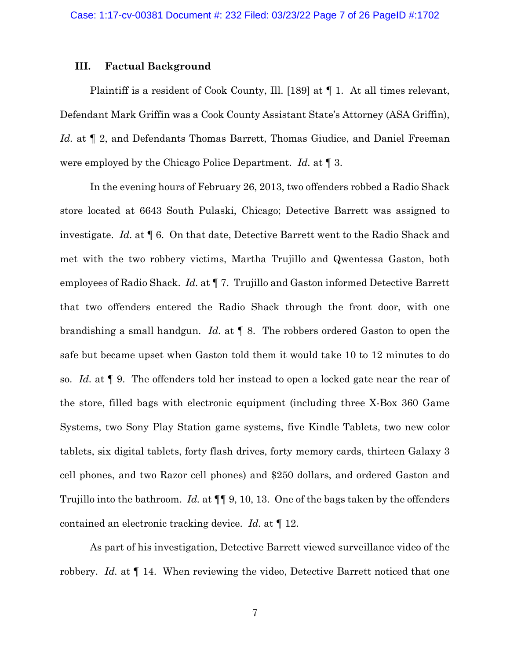### **III. Factual Background**

Plaintiff is a resident of Cook County, Ill. [189] at ¶ 1. At all times relevant, Defendant Mark Griffin was a Cook County Assistant State's Attorney (ASA Griffin), *Id.* at  $\llbracket 2$ , and Defendants Thomas Barrett, Thomas Giudice, and Daniel Freeman were employed by the Chicago Police Department. *Id.* at ¶ 3.

In the evening hours of February 26, 2013, two offenders robbed a Radio Shack store located at 6643 South Pulaski, Chicago; Detective Barrett was assigned to investigate. *Id.* at ¶ 6. On that date, Detective Barrett went to the Radio Shack and met with the two robbery victims, Martha Trujillo and Qwentessa Gaston, both employees of Radio Shack. *Id.* at ¶ 7. Trujillo and Gaston informed Detective Barrett that two offenders entered the Radio Shack through the front door, with one brandishing a small handgun. *Id.* at ¶ 8. The robbers ordered Gaston to open the safe but became upset when Gaston told them it would take 10 to 12 minutes to do so. *Id.* at ¶ 9. The offenders told her instead to open a locked gate near the rear of the store, filled bags with electronic equipment (including three X-Box 360 Game Systems, two Sony Play Station game systems, five Kindle Tablets, two new color tablets, six digital tablets, forty flash drives, forty memory cards, thirteen Galaxy 3 cell phones, and two Razor cell phones) and \$250 dollars, and ordered Gaston and Trujillo into the bathroom. *Id.* at ¶¶ 9, 10, 13. One of the bags taken by the offenders contained an electronic tracking device. *Id.* at ¶ 12.

As part of his investigation, Detective Barrett viewed surveillance video of the robbery. *Id.* at ¶ 14. When reviewing the video, Detective Barrett noticed that one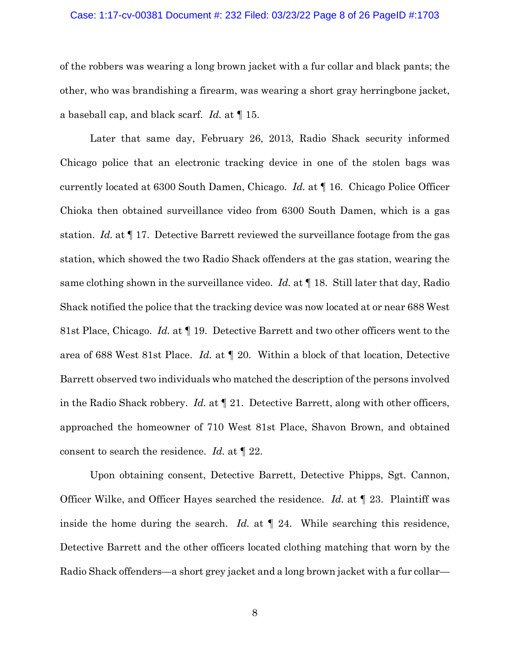#### Case: 1:17-cv-00381 Document #: 232 Filed: 03/23/22 Page 8 of 26 PageID #:1703

of the robbers was wearing a long brown jacket with a fur collar and black pants; the other, who was brandishing a firearm, was wearing a short gray herringbone jacket, a baseball cap, and black scarf. *Id.* at ¶ 15.

Later that same day, February 26, 2013, Radio Shack security informed Chicago police that an electronic tracking device in one of the stolen bags was currently located at 6300 South Damen, Chicago. *Id.* at ¶ 16. Chicago Police Officer Chioka then obtained surveillance video from 6300 South Damen, which is a gas station. *Id.* at ¶ 17. Detective Barrett reviewed the surveillance footage from the gas station, which showed the two Radio Shack offenders at the gas station, wearing the same clothing shown in the surveillance video. *Id.* at ¶ 18. Still later that day, Radio Shack notified the police that the tracking device was now located at or near 688 West 81st Place, Chicago. *Id.* at ¶ 19. Detective Barrett and two other officers went to the area of 688 West 81st Place. *Id.* at ¶ 20. Within a block of that location, Detective Barrett observed two individuals who matched the description of the persons involved in the Radio Shack robbery. *Id.* at ¶ 21. Detective Barrett, along with other officers, approached the homeowner of 710 West 81st Place, Shavon Brown, and obtained consent to search the residence. *Id.* at ¶ 22.

Upon obtaining consent, Detective Barrett, Detective Phipps, Sgt. Cannon, Officer Wilke, and Officer Hayes searched the residence. *Id.* at ¶ 23. Plaintiff was inside the home during the search. *Id.* at ¶ 24. While searching this residence, Detective Barrett and the other officers located clothing matching that worn by the Radio Shack offenders—a short grey jacket and a long brown jacket with a fur collar—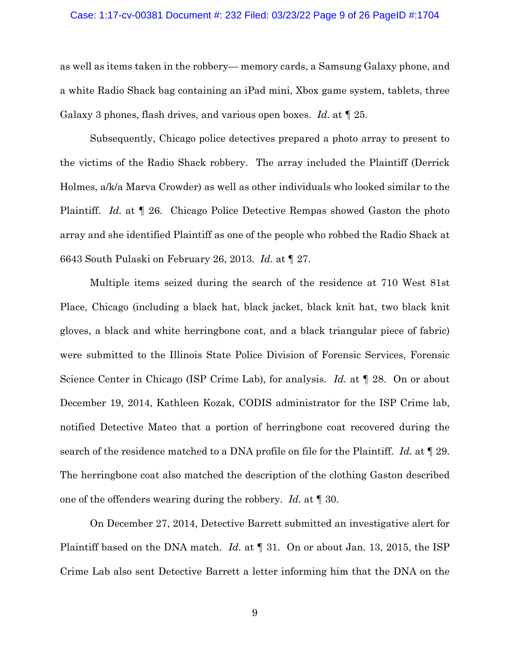#### Case: 1:17-cv-00381 Document #: 232 Filed: 03/23/22 Page 9 of 26 PageID #:1704

as well as items taken in the robbery— memory cards, a Samsung Galaxy phone, and a white Radio Shack bag containing an iPad mini, Xbox game system, tablets, three Galaxy 3 phones, flash drives, and various open boxes. *Id.* at ¶ 25.

Subsequently, Chicago police detectives prepared a photo array to present to the victims of the Radio Shack robbery. The array included the Plaintiff (Derrick Holmes, a/k/a Marva Crowder) as well as other individuals who looked similar to the Plaintiff. *Id.* at ¶ 26. Chicago Police Detective Rempas showed Gaston the photo array and she identified Plaintiff as one of the people who robbed the Radio Shack at 6643 South Pulaski on February 26, 2013. *Id.* at ¶ 27.

Multiple items seized during the search of the residence at 710 West 81st Place, Chicago (including a black hat, black jacket, black knit hat, two black knit gloves, a black and white herringbone coat, and a black triangular piece of fabric) were submitted to the Illinois State Police Division of Forensic Services, Forensic Science Center in Chicago (ISP Crime Lab), for analysis. *Id.* at ¶ 28. On or about December 19, 2014, Kathleen Kozak, CODIS administrator for the ISP Crime lab, notified Detective Mateo that a portion of herringbone coat recovered during the search of the residence matched to a DNA profile on file for the Plaintiff. *Id.* at ¶ 29. The herringbone coat also matched the description of the clothing Gaston described one of the offenders wearing during the robbery. *Id.* at ¶ 30.

On December 27, 2014, Detective Barrett submitted an investigative alert for Plaintiff based on the DNA match. *Id.* at ¶ 31. On or about Jan. 13, 2015, the ISP Crime Lab also sent Detective Barrett a letter informing him that the DNA on the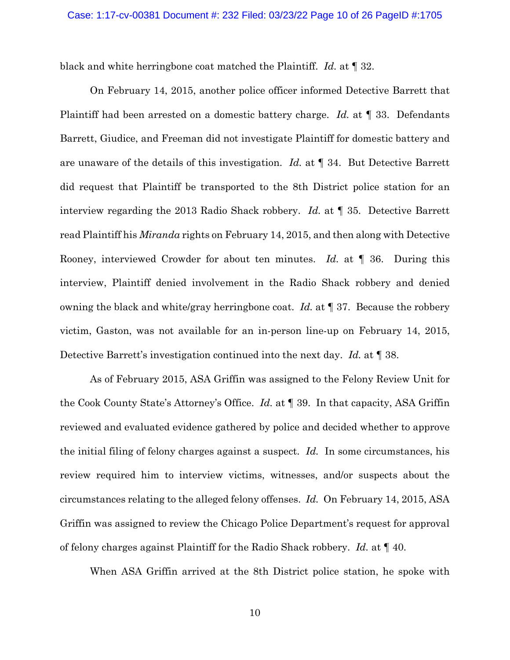black and white herringbone coat matched the Plaintiff. *Id.* at ¶ 32.

On February 14, 2015, another police officer informed Detective Barrett that Plaintiff had been arrested on a domestic battery charge. *Id.* at ¶ 33. Defendants Barrett, Giudice, and Freeman did not investigate Plaintiff for domestic battery and are unaware of the details of this investigation. *Id.* at ¶ 34. But Detective Barrett did request that Plaintiff be transported to the 8th District police station for an interview regarding the 2013 Radio Shack robbery. *Id.* at ¶ 35. Detective Barrett read Plaintiff his *Miranda* rights on February 14, 2015, and then along with Detective Rooney, interviewed Crowder for about ten minutes. *Id.* at ¶ 36. During this interview, Plaintiff denied involvement in the Radio Shack robbery and denied owning the black and white/gray herringbone coat. *Id.* at ¶ 37. Because the robbery victim, Gaston, was not available for an in-person line-up on February 14, 2015, Detective Barrett's investigation continued into the next day. *Id.* at ¶ 38.

As of February 2015, ASA Griffin was assigned to the Felony Review Unit for the Cook County State's Attorney's Office. *Id.* at ¶ 39. In that capacity, ASA Griffin reviewed and evaluated evidence gathered by police and decided whether to approve the initial filing of felony charges against a suspect. *Id.* In some circumstances, his review required him to interview victims, witnesses, and/or suspects about the circumstances relating to the alleged felony offenses. *Id.* On February 14, 2015, ASA Griffin was assigned to review the Chicago Police Department's request for approval of felony charges against Plaintiff for the Radio Shack robbery. *Id.* at ¶ 40.

When ASA Griffin arrived at the 8th District police station, he spoke with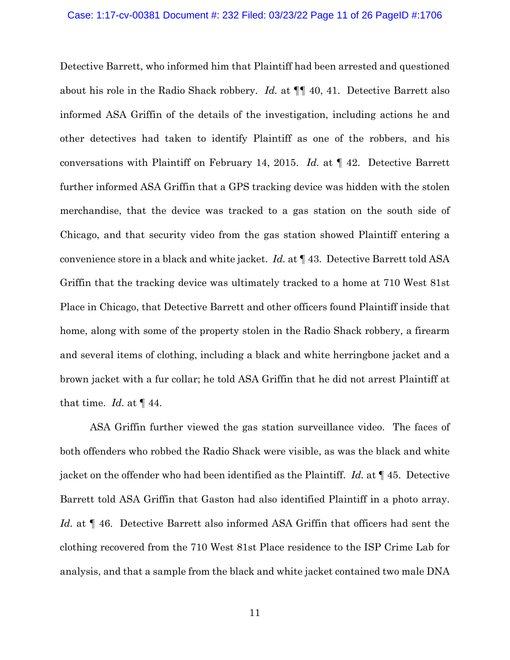Detective Barrett, who informed him that Plaintiff had been arrested and questioned about his role in the Radio Shack robbery. *Id.* at ¶¶ 40, 41. Detective Barrett also informed ASA Griffin of the details of the investigation, including actions he and other detectives had taken to identify Plaintiff as one of the robbers, and his conversations with Plaintiff on February 14, 2015. *Id.* at ¶ 42. Detective Barrett further informed ASA Griffin that a GPS tracking device was hidden with the stolen merchandise, that the device was tracked to a gas station on the south side of Chicago, and that security video from the gas station showed Plaintiff entering a convenience store in a black and white jacket. *Id.* at ¶ 43. Detective Barrett told ASA Griffin that the tracking device was ultimately tracked to a home at 710 West 81st Place in Chicago, that Detective Barrett and other officers found Plaintiff inside that home, along with some of the property stolen in the Radio Shack robbery, a firearm and several items of clothing, including a black and white herringbone jacket and a brown jacket with a fur collar; he told ASA Griffin that he did not arrest Plaintiff at that time. *Id.* at  $\P$  44.

ASA Griffin further viewed the gas station surveillance video. The faces of both offenders who robbed the Radio Shack were visible, as was the black and white jacket on the offender who had been identified as the Plaintiff. *Id.* at ¶ 45. Detective Barrett told ASA Griffin that Gaston had also identified Plaintiff in a photo array. *Id.* at ¶ 46. Detective Barrett also informed ASA Griffin that officers had sent the clothing recovered from the 710 West 81st Place residence to the ISP Crime Lab for analysis, and that a sample from the black and white jacket contained two male DNA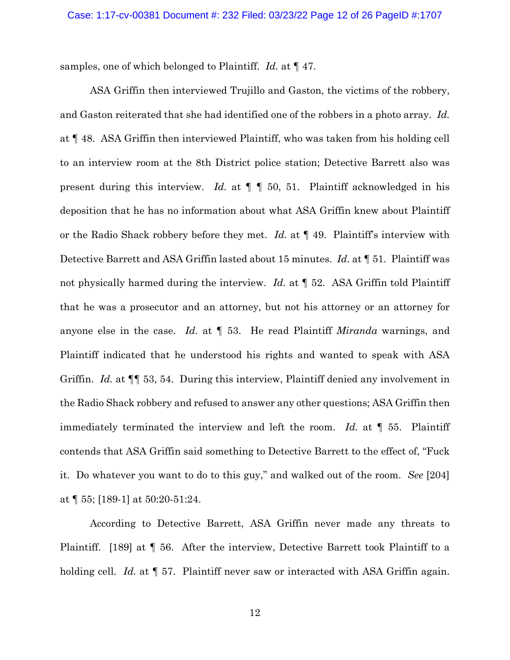samples, one of which belonged to Plaintiff. *Id.* at ¶ 47.

ASA Griffin then interviewed Trujillo and Gaston, the victims of the robbery, and Gaston reiterated that she had identified one of the robbers in a photo array. *Id.* at ¶ 48. ASA Griffin then interviewed Plaintiff, who was taken from his holding cell to an interview room at the 8th District police station; Detective Barrett also was present during this interview. *Id.* at ¶ ¶ 50, 51. Plaintiff acknowledged in his deposition that he has no information about what ASA Griffin knew about Plaintiff or the Radio Shack robbery before they met. *Id.* at ¶ 49. Plaintiff's interview with Detective Barrett and ASA Griffin lasted about 15 minutes. *Id.* at ¶ 51. Plaintiff was not physically harmed during the interview. *Id.* at ¶ 52. ASA Griffin told Plaintiff that he was a prosecutor and an attorney, but not his attorney or an attorney for anyone else in the case. *Id.* at ¶ 53. He read Plaintiff *Miranda* warnings, and Plaintiff indicated that he understood his rights and wanted to speak with ASA Griffin. *Id.* at ¶¶ 53, 54. During this interview, Plaintiff denied any involvement in the Radio Shack robbery and refused to answer any other questions; ASA Griffin then immediately terminated the interview and left the room. *Id.* at ¶ 55. Plaintiff contends that ASA Griffin said something to Detective Barrett to the effect of, "Fuck it. Do whatever you want to do to this guy," and walked out of the room. *See* [204] at ¶ 55; [189-1] at 50:20-51:24.

According to Detective Barrett, ASA Griffin never made any threats to Plaintiff. [189] at ¶ 56. After the interview, Detective Barrett took Plaintiff to a holding cell. *Id.* at  $\llbracket 57$ . Plaintiff never saw or interacted with ASA Griffin again.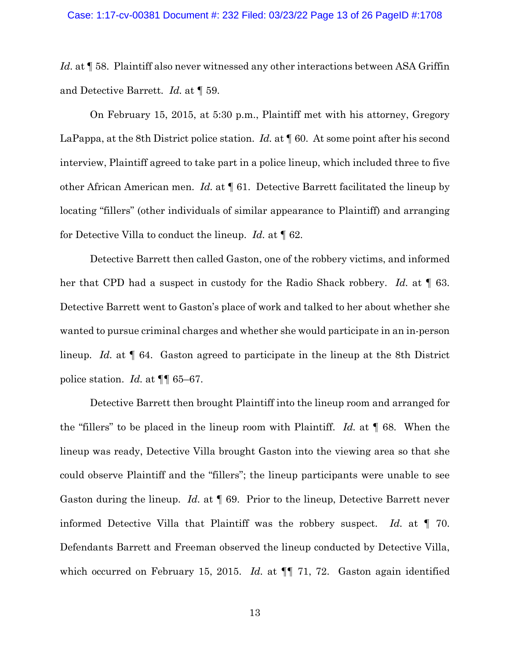#### Case: 1:17-cv-00381 Document #: 232 Filed: 03/23/22 Page 13 of 26 PageID #:1708

Id. at  $\P$  58. Plaintiff also never witnessed any other interactions between ASA Griffin and Detective Barrett. *Id.* at ¶ 59.

On February 15, 2015, at 5:30 p.m., Plaintiff met with his attorney, Gregory LaPappa, at the 8th District police station. *Id.* at **[60.** At some point after his second interview, Plaintiff agreed to take part in a police lineup, which included three to five other African American men. *Id.* at ¶ 61. Detective Barrett facilitated the lineup by locating "fillers" (other individuals of similar appearance to Plaintiff) and arranging for Detective Villa to conduct the lineup. *Id.* at ¶ 62.

Detective Barrett then called Gaston, one of the robbery victims, and informed her that CPD had a suspect in custody for the Radio Shack robbery. *Id.* at ¶ 63. Detective Barrett went to Gaston's place of work and talked to her about whether she wanted to pursue criminal charges and whether she would participate in an in-person lineup. *Id.* at ¶ 64. Gaston agreed to participate in the lineup at the 8th District police station. *Id.* at ¶¶ 65–67.

Detective Barrett then brought Plaintiff into the lineup room and arranged for the "fillers" to be placed in the lineup room with Plaintiff. *Id.* at ¶ 68. When the lineup was ready, Detective Villa brought Gaston into the viewing area so that she could observe Plaintiff and the "fillers"; the lineup participants were unable to see Gaston during the lineup. *Id.* at  $\llbracket 69$ . Prior to the lineup, Detective Barrett never informed Detective Villa that Plaintiff was the robbery suspect. *Id.* at ¶ 70. Defendants Barrett and Freeman observed the lineup conducted by Detective Villa, which occurred on February 15, 2015. *Id.* at  $\P\P$  71, 72. Gaston again identified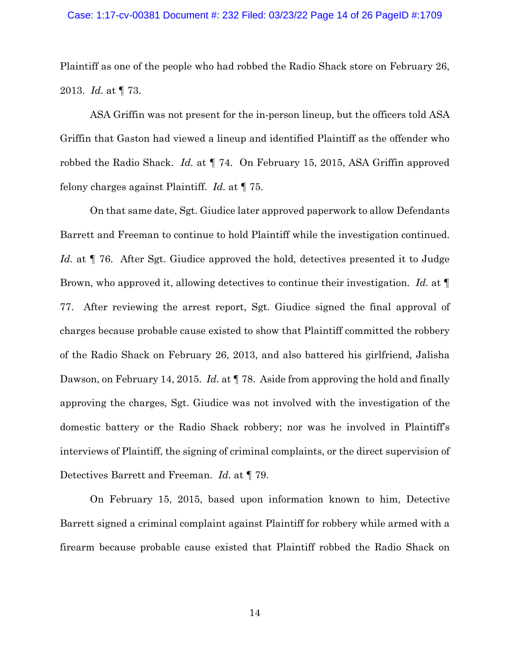#### Case: 1:17-cv-00381 Document #: 232 Filed: 03/23/22 Page 14 of 26 PageID #:1709

Plaintiff as one of the people who had robbed the Radio Shack store on February 26, 2013. *Id.* at ¶ 73.

ASA Griffin was not present for the in-person lineup, but the officers told ASA Griffin that Gaston had viewed a lineup and identified Plaintiff as the offender who robbed the Radio Shack. *Id.* at ¶ 74. On February 15, 2015, ASA Griffin approved felony charges against Plaintiff. *Id.* at ¶ 75.

On that same date, Sgt. Giudice later approved paperwork to allow Defendants Barrett and Freeman to continue to hold Plaintiff while the investigation continued. *Id.* at ¶ 76. After Sgt. Giudice approved the hold, detectives presented it to Judge Brown, who approved it, allowing detectives to continue their investigation. *Id.* at ¶ 77. After reviewing the arrest report, Sgt. Giudice signed the final approval of charges because probable cause existed to show that Plaintiff committed the robbery of the Radio Shack on February 26, 2013, and also battered his girlfriend, Jalisha Dawson, on February 14, 2015. *Id.* at ¶ 78. Aside from approving the hold and finally approving the charges, Sgt. Giudice was not involved with the investigation of the domestic battery or the Radio Shack robbery; nor was he involved in Plaintiff's interviews of Plaintiff, the signing of criminal complaints, or the direct supervision of Detectives Barrett and Freeman. *Id.* at ¶ 79.

On February 15, 2015, based upon information known to him, Detective Barrett signed a criminal complaint against Plaintiff for robbery while armed with a firearm because probable cause existed that Plaintiff robbed the Radio Shack on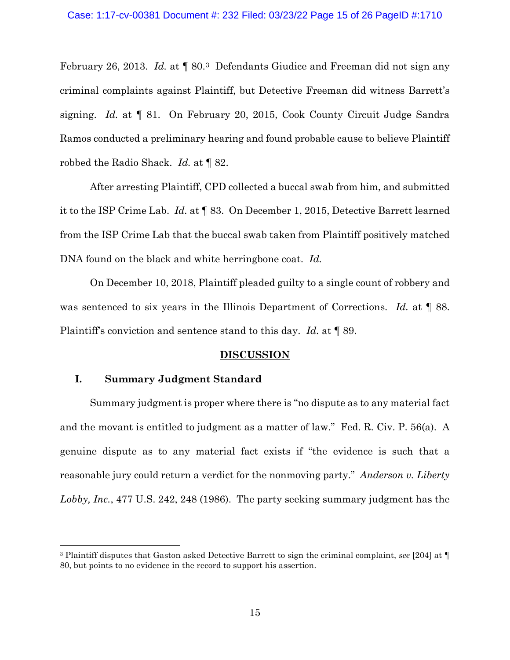February 26, 2013. *Id.* at ¶ 80.[3](#page-14-0) Defendants Giudice and Freeman did not sign any criminal complaints against Plaintiff, but Detective Freeman did witness Barrett's signing. *Id.* at ¶ 81. On February 20, 2015, Cook County Circuit Judge Sandra Ramos conducted a preliminary hearing and found probable cause to believe Plaintiff robbed the Radio Shack. *Id.* at ¶ 82.

After arresting Plaintiff, CPD collected a buccal swab from him, and submitted it to the ISP Crime Lab. *Id.* at ¶ 83. On December 1, 2015, Detective Barrett learned from the ISP Crime Lab that the buccal swab taken from Plaintiff positively matched DNA found on the black and white herringbone coat. *Id.*

On December 10, 2018, Plaintiff pleaded guilty to a single count of robbery and was sentenced to six years in the Illinois Department of Corrections. *Id.* at ¶ 88. Plaintiff's conviction and sentence stand to this day. *Id.* at ¶ 89.

## **DISCUSSION**

## **I. Summary Judgment Standard**

Summary judgment is proper where there is "no dispute as to any material fact and the movant is entitled to judgment as a matter of law." Fed. R. Civ. P. 56(a). A genuine dispute as to any material fact exists if "the evidence is such that a reasonable jury could return a verdict for the nonmoving party." *Anderson v. Liberty Lobby, Inc.*, 477 U.S. 242, 248 (1986). The party seeking summary judgment has the

<span id="page-14-0"></span><sup>3</sup> Plaintiff disputes that Gaston asked Detective Barrett to sign the criminal complaint, *see* [204] at ¶ 80, but points to no evidence in the record to support his assertion.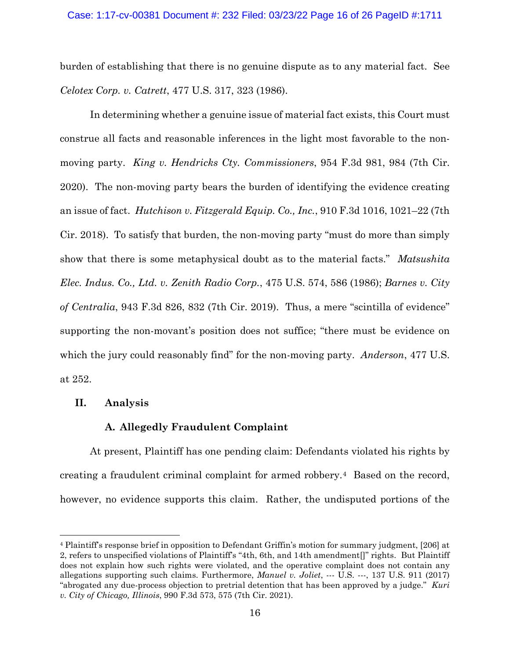burden of establishing that there is no genuine dispute as to any material fact. See *Celotex Corp. v. Catrett*, 477 U.S. 317, 323 (1986).

In determining whether a genuine issue of material fact exists, this Court must construe all facts and reasonable inferences in the light most favorable to the nonmoving party. *King v. Hendricks Cty. Commissioners*, 954 F.3d 981, 984 (7th Cir. 2020). The non-moving party bears the burden of identifying the evidence creating an issue of fact. *Hutchison v. Fitzgerald Equip. Co., Inc.*, 910 F.3d 1016, 1021–22 (7th Cir. 2018). To satisfy that burden, the non-moving party "must do more than simply show that there is some metaphysical doubt as to the material facts." *Matsushita Elec. Indus. Co., Ltd. v. Zenith Radio Corp.*, 475 U.S. 574, 586 (1986); *Barnes v. City of Centralia*, 943 F.3d 826, 832 (7th Cir. 2019). Thus, a mere "scintilla of evidence" supporting the non-movant's position does not suffice; "there must be evidence on which the jury could reasonably find" for the non-moving party. *Anderson*, 477 U.S. at 252.

## **II. Analysis**

## **A. Allegedly Fraudulent Complaint**

At present, Plaintiff has one pending claim: Defendants violated his rights by creating a fraudulent criminal complaint for armed robbery.[4](#page-15-0) Based on the record, however, no evidence supports this claim. Rather, the undisputed portions of the

<span id="page-15-0"></span><sup>4</sup> Plaintiff's response brief in opposition to Defendant Griffin's motion for summary judgment, [206] at 2, refers to unspecified violations of Plaintiff's "4th, 6th, and 14th amendment[]" rights. But Plaintiff does not explain how such rights were violated, and the operative complaint does not contain any allegations supporting such claims. Furthermore, *Manuel v. Joliet*, --- U.S. ---, 137 U.S. 911 (2017) "abrogated any due-process objection to pretrial detention that has been approved by a judge." *Kuri v. City of Chicago, Illinois*, 990 F.3d 573, 575 (7th Cir. 2021).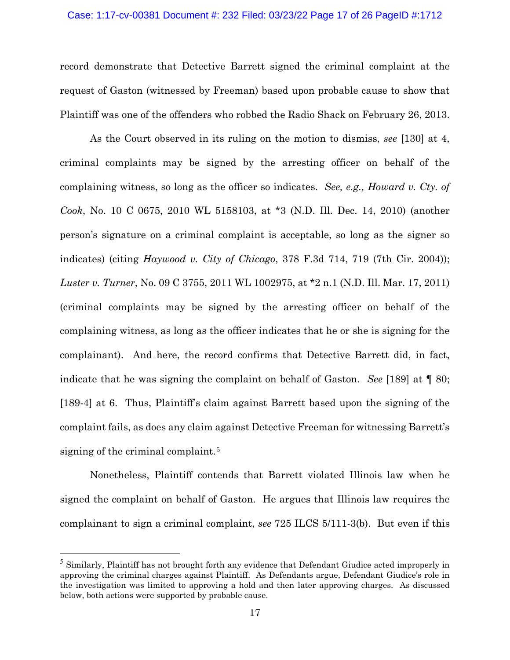## Case: 1:17-cv-00381 Document #: 232 Filed: 03/23/22 Page 17 of 26 PageID #:1712

record demonstrate that Detective Barrett signed the criminal complaint at the request of Gaston (witnessed by Freeman) based upon probable cause to show that Plaintiff was one of the offenders who robbed the Radio Shack on February 26, 2013.

As the Court observed in its ruling on the motion to dismiss, *see* [130] at 4, criminal complaints may be signed by the arresting officer on behalf of the complaining witness, so long as the officer so indicates. *See, e.g., Howard v. Cty. of Cook*, No. 10 C 0675, 2010 WL 5158103, at \*3 (N.D. Ill. Dec. 14, 2010) (another person's signature on a criminal complaint is acceptable, so long as the signer so indicates) (citing *Haywood v. City of Chicago*, 378 F.3d 714, 719 (7th Cir. 2004)); *Luster v. Turner*, No. 09 C 3755, 2011 WL 1002975, at \*2 n.1 (N.D. Ill. Mar. 17, 2011) (criminal complaints may be signed by the arresting officer on behalf of the complaining witness, as long as the officer indicates that he or she is signing for the complainant). And here, the record confirms that Detective Barrett did, in fact, indicate that he was signing the complaint on behalf of Gaston. *See* [189] at ¶ 80; [189-4] at 6. Thus, Plaintiff's claim against Barrett based upon the signing of the complaint fails, as does any claim against Detective Freeman for witnessing Barrett's signing of the criminal complaint.<sup>[5](#page-16-0)</sup>

Nonetheless, Plaintiff contends that Barrett violated Illinois law when he signed the complaint on behalf of Gaston. He argues that Illinois law requires the complainant to sign a criminal complaint, *see* 725 ILCS 5/111-3(b). But even if this

<span id="page-16-0"></span><sup>&</sup>lt;sup>5</sup> Similarly, Plaintiff has not brought forth any evidence that Defendant Giudice acted improperly in approving the criminal charges against Plaintiff. As Defendants argue, Defendant Giudice's role in the investigation was limited to approving a hold and then later approving charges. As discussed below, both actions were supported by probable cause.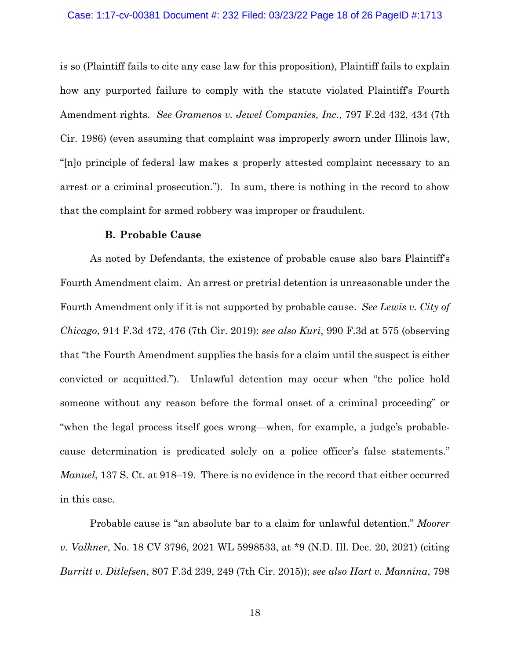is so (Plaintiff fails to cite any case law for this proposition), Plaintiff fails to explain how any purported failure to comply with the statute violated Plaintiff's Fourth Amendment rights. *See Gramenos v. Jewel Companies, Inc.*, 797 F.2d 432, 434 (7th Cir. 1986) (even assuming that complaint was improperly sworn under Illinois law, "[n]o principle of federal law makes a properly attested complaint necessary to an arrest or a criminal prosecution."). In sum, there is nothing in the record to show that the complaint for armed robbery was improper or fraudulent.

### **B. Probable Cause**

As noted by Defendants, the existence of probable cause also bars Plaintiff's Fourth Amendment claim. An arrest or pretrial detention is unreasonable under the Fourth Amendment only if it is not supported by probable cause. *See Lewis v. City of Chicago*, 914 F.3d 472, 476 (7th Cir. 2019); *see also Kuri*, 990 F.3d at 575 (observing that "the Fourth Amendment supplies the basis for a claim until the suspect is either convicted or acquitted."). Unlawful detention may occur when "the police hold someone without any reason before the formal onset of a criminal proceeding" or "when the legal process itself goes wrong—when, for example, a judge's probablecause determination is predicated solely on a police officer's false statements." *Manuel*, 137 S. Ct. at 918–19. There is no evidence in the record that either occurred in this case.

Probable cause is "an absolute bar to a claim for unlawful detention." *Moorer v. Valkner*, No. 18 CV 3796, 2021 WL 5998533, at \*9 (N.D. Ill. Dec. 20, 2021) (citing *Burritt v. Ditlefsen*, 807 F.3d 239, 249 (7th Cir. 2015)); *see also Hart v. Mannina*, 798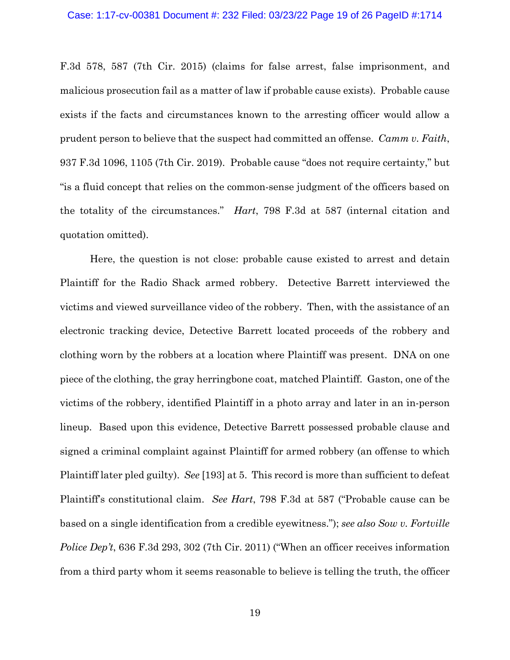F.3d 578, 587 (7th Cir. 2015) (claims for false arrest, false imprisonment, and malicious prosecution fail as a matter of law if probable cause exists). Probable cause exists if the facts and circumstances known to the arresting officer would allow a prudent person to believe that the suspect had committed an offense. *Camm v. Faith*, 937 F.3d 1096, 1105 (7th Cir. 2019). Probable cause "does not require certainty," but "is a fluid concept that relies on the common-sense judgment of the officers based on the totality of the circumstances." *Hart*, 798 F.3d at 587 (internal citation and quotation omitted).

Here, the question is not close: probable cause existed to arrest and detain Plaintiff for the Radio Shack armed robbery. Detective Barrett interviewed the victims and viewed surveillance video of the robbery. Then, with the assistance of an electronic tracking device, Detective Barrett located proceeds of the robbery and clothing worn by the robbers at a location where Plaintiff was present. DNA on one piece of the clothing, the gray herringbone coat, matched Plaintiff. Gaston, one of the victims of the robbery, identified Plaintiff in a photo array and later in an in-person lineup. Based upon this evidence, Detective Barrett possessed probable clause and signed a criminal complaint against Plaintiff for armed robbery (an offense to which Plaintiff later pled guilty). *See* [193] at 5. This record is more than sufficient to defeat Plaintiff's constitutional claim. *See Hart*, 798 F.3d at 587 ("Probable cause can be based on a single identification from a credible eyewitness."); *see also Sow v. Fortville Police Dep't*, 636 F.3d 293, 302 (7th Cir. 2011) ("When an officer receives information from a third party whom it seems reasonable to believe is telling the truth, the officer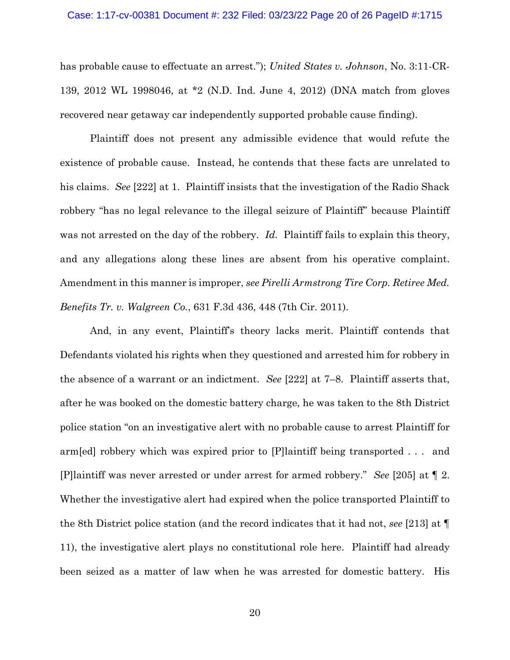#### Case: 1:17-cv-00381 Document #: 232 Filed: 03/23/22 Page 20 of 26 PageID #:1715

has probable cause to effectuate an arrest."); *United States v. Johnson*, No. 3:11-CR-139, 2012 WL 1998046, at \*2 (N.D. Ind. June 4, 2012) (DNA match from gloves recovered near getaway car independently supported probable cause finding).

Plaintiff does not present any admissible evidence that would refute the existence of probable cause. Instead, he contends that these facts are unrelated to his claims. *See* [222] at 1. Plaintiff insists that the investigation of the Radio Shack robbery "has no legal relevance to the illegal seizure of Plaintiff" because Plaintiff was not arrested on the day of the robbery. *Id.* Plaintiff fails to explain this theory, and any allegations along these lines are absent from his operative complaint. Amendment in this manner is improper, *see Pirelli Armstrong Tire Corp. Retiree Med. Benefits Tr. v. Walgreen Co.*, 631 F.3d 436, 448 (7th Cir. 2011).

And, in any event, Plaintiff's theory lacks merit. Plaintiff contends that Defendants violated his rights when they questioned and arrested him for robbery in the absence of a warrant or an indictment. *See* [222] at 7–8. Plaintiff asserts that, after he was booked on the domestic battery charge, he was taken to the 8th District police station "on an investigative alert with no probable cause to arrest Plaintiff for arm[ed] robbery which was expired prior to [P]laintiff being transported . . . and [P]laintiff was never arrested or under arrest for armed robbery." *See* [205] at ¶ 2. Whether the investigative alert had expired when the police transported Plaintiff to the 8th District police station (and the record indicates that it had not, *see* [213] at ¶ 11), the investigative alert plays no constitutional role here. Plaintiff had already been seized as a matter of law when he was arrested for domestic battery. His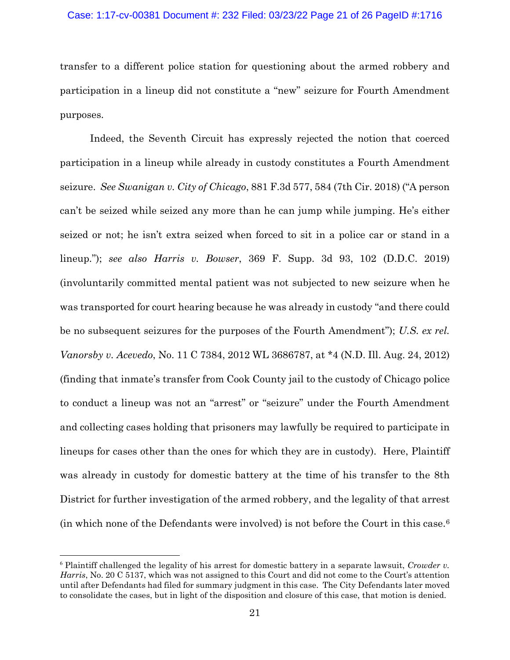transfer to a different police station for questioning about the armed robbery and participation in a lineup did not constitute a "new" seizure for Fourth Amendment purposes.

Indeed, the Seventh Circuit has expressly rejected the notion that coerced participation in a lineup while already in custody constitutes a Fourth Amendment seizure. *See Swanigan v. City of Chicago*, 881 F.3d 577, 584 (7th Cir. 2018) ("A person can't be seized while seized any more than he can jump while jumping. He's either seized or not; he isn't extra seized when forced to sit in a police car or stand in a lineup."); *see also Harris v. Bowser*, 369 F. Supp. 3d 93, 102 (D.D.C. 2019) (involuntarily committed mental patient was not subjected to new seizure when he was transported for court hearing because he was already in custody "and there could be no subsequent seizures for the purposes of the Fourth Amendment"); *U.S. ex rel. Vanorsby v. Acevedo*, No. 11 C 7384, 2012 WL 3686787, at \*4 (N.D. Ill. Aug. 24, 2012) (finding that inmate's transfer from Cook County jail to the custody of Chicago police to conduct a lineup was not an "arrest" or "seizure" under the Fourth Amendment and collecting cases holding that prisoners may lawfully be required to participate in lineups for cases other than the ones for which they are in custody). Here, Plaintiff was already in custody for domestic battery at the time of his transfer to the 8th District for further investigation of the armed robbery, and the legality of that arrest (in which none of the Defendants were involved) is not before the Court in this case.[6](#page-20-0)

<span id="page-20-0"></span><sup>6</sup> Plaintiff challenged the legality of his arrest for domestic battery in a separate lawsuit, *Crowder v. Harris*, No. 20 C 5137, which was not assigned to this Court and did not come to the Court's attention until after Defendants had filed for summary judgment in this case. The City Defendants later moved to consolidate the cases, but in light of the disposition and closure of this case, that motion is denied.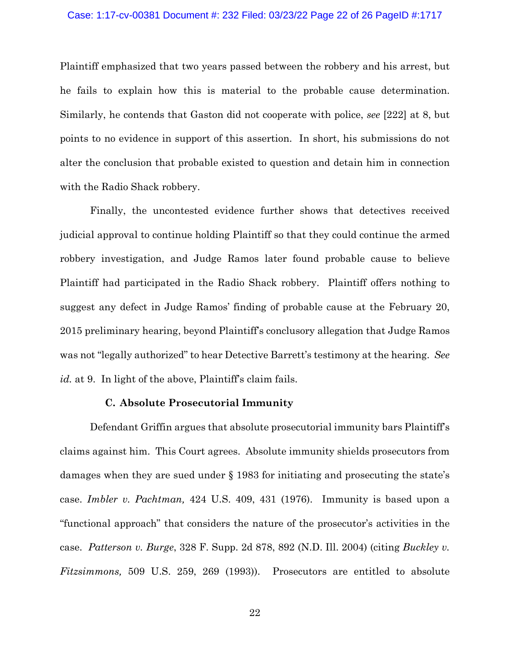#### Case: 1:17-cv-00381 Document #: 232 Filed: 03/23/22 Page 22 of 26 PageID #:1717

Plaintiff emphasized that two years passed between the robbery and his arrest, but he fails to explain how this is material to the probable cause determination. Similarly, he contends that Gaston did not cooperate with police, *see* [222] at 8, but points to no evidence in support of this assertion. In short, his submissions do not alter the conclusion that probable existed to question and detain him in connection with the Radio Shack robbery.

Finally, the uncontested evidence further shows that detectives received judicial approval to continue holding Plaintiff so that they could continue the armed robbery investigation, and Judge Ramos later found probable cause to believe Plaintiff had participated in the Radio Shack robbery. Plaintiff offers nothing to suggest any defect in Judge Ramos' finding of probable cause at the February 20, 2015 preliminary hearing, beyond Plaintiff's conclusory allegation that Judge Ramos was not "legally authorized" to hear Detective Barrett's testimony at the hearing. *See id.* at 9. In light of the above, Plaintiff's claim fails.

## **C. Absolute Prosecutorial Immunity**

Defendant Griffin argues that absolute prosecutorial immunity bars Plaintiff's claims against him. This Court agrees. Absolute immunity shields prosecutors from damages when they are sued under § 1983 for initiating and prosecuting the state's case. *Imbler v. Pachtman,* 424 U.S. 409, 431 (1976). Immunity is based upon a "functional approach" that considers the nature of the prosecutor's activities in the case. *Patterson v. Burge*, 328 F. Supp. 2d 878, 892 (N.D. Ill. 2004) (citing *Buckley v. Fitzsimmons,* 509 U.S. 259, 269 (1993)). Prosecutors are entitled to absolute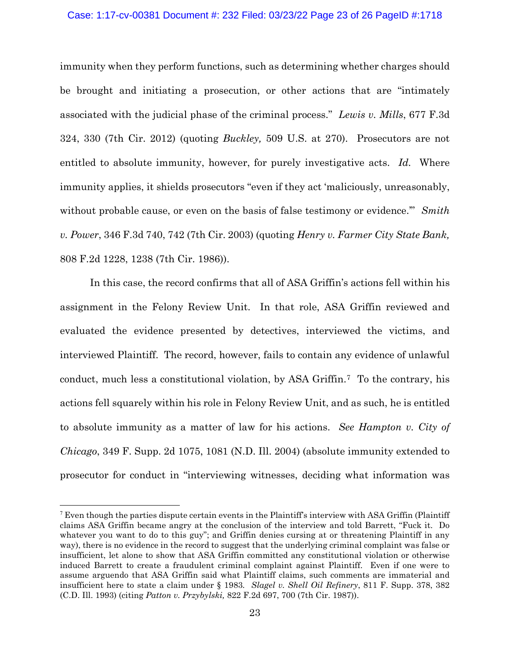#### Case: 1:17-cv-00381 Document #: 232 Filed: 03/23/22 Page 23 of 26 PageID #:1718

immunity when they perform functions, such as determining whether charges should be brought and initiating a prosecution, or other actions that are "intimately associated with the judicial phase of the criminal process." *Lewis v. Mills*, 677 F.3d 324, 330 (7th Cir. 2012) (quoting *Buckley,* 509 U.S. at 270). Prosecutors are not entitled to absolute immunity, however, for purely investigative acts. *Id.* Where immunity applies, it shields prosecutors "even if they act 'maliciously, unreasonably, without probable cause, or even on the basis of false testimony or evidence.'" *Smith v. Power*, 346 F.3d 740, 742 (7th Cir. 2003) (quoting *Henry v. Farmer City State Bank,* 808 F.2d 1228, 1238 (7th Cir. 1986)).

In this case, the record confirms that all of ASA Griffin's actions fell within his assignment in the Felony Review Unit. In that role, ASA Griffin reviewed and evaluated the evidence presented by detectives, interviewed the victims, and interviewed Plaintiff. The record, however, fails to contain any evidence of unlawful conduct, much less a constitutional violation, by ASA Griffin[.7](#page-22-0) To the contrary, his actions fell squarely within his role in Felony Review Unit, and as such, he is entitled to absolute immunity as a matter of law for his actions. *See Hampton v. City of Chicago*, 349 F. Supp. 2d 1075, 1081 (N.D. Ill. 2004) (absolute immunity extended to prosecutor for conduct in "interviewing witnesses, deciding what information was

<span id="page-22-0"></span><sup>&</sup>lt;sup>7</sup> Even though the parties dispute certain events in the Plaintiff's interview with ASA Griffin (Plaintiff) claims ASA Griffin became angry at the conclusion of the interview and told Barrett, "Fuck it. Do whatever you want to do to this guy"; and Griffin denies cursing at or threatening Plaintiff in any way), there is no evidence in the record to suggest that the underlying criminal complaint was false or insufficient, let alone to show that ASA Griffin committed any constitutional violation or otherwise induced Barrett to create a fraudulent criminal complaint against Plaintiff. Even if one were to assume arguendo that ASA Griffin said what Plaintiff claims, such comments are immaterial and insufficient here to state a claim under § 1983*. Slagel v. Shell Oil Refinery*, 811 F. Supp. 378, 382 (C.D. Ill. 1993) (citing *Patton v. Przybylski,* 822 F.2d 697, 700 (7th Cir. 1987)).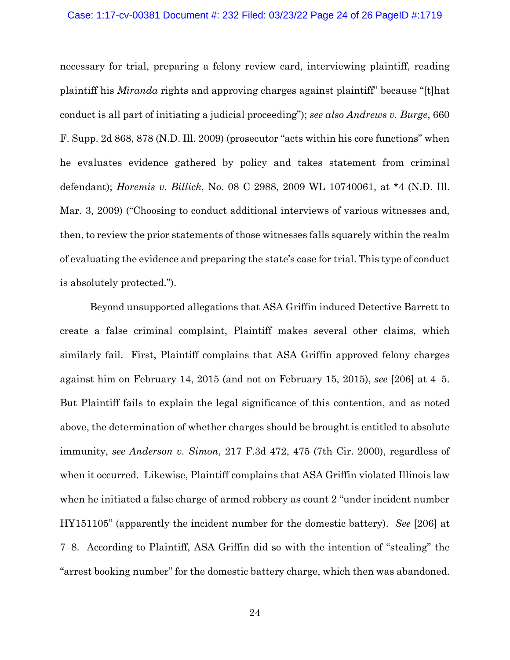#### Case: 1:17-cv-00381 Document #: 232 Filed: 03/23/22 Page 24 of 26 PageID #:1719

necessary for trial, preparing a felony review card, interviewing plaintiff, reading plaintiff his *Miranda* rights and approving charges against plaintiff" because "[t]hat conduct is all part of initiating a judicial proceeding"); *see also Andrews v. Burge*, 660 F. Supp. 2d 868, 878 (N.D. Ill. 2009) (prosecutor "acts within his core functions" when he evaluates evidence gathered by policy and takes statement from criminal defendant); *Horemis v. Billick*, No. 08 C 2988, 2009 WL 10740061, at \*4 (N.D. Ill. Mar. 3, 2009) ("Choosing to conduct additional interviews of various witnesses and, then, to review the prior statements of those witnesses falls squarely within the realm of evaluating the evidence and preparing the state's case for trial. This type of conduct is absolutely protected.").

Beyond unsupported allegations that ASA Griffin induced Detective Barrett to create a false criminal complaint, Plaintiff makes several other claims, which similarly fail. First, Plaintiff complains that ASA Griffin approved felony charges against him on February 14, 2015 (and not on February 15, 2015), *see* [206] at 4–5. But Plaintiff fails to explain the legal significance of this contention, and as noted above, the determination of whether charges should be brought is entitled to absolute immunity, *see Anderson v. Simon*, 217 F.3d 472, 475 (7th Cir. 2000), regardless of when it occurred. Likewise, Plaintiff complains that ASA Griffin violated Illinois law when he initiated a false charge of armed robbery as count 2 "under incident number HY151105" (apparently the incident number for the domestic battery). *See* [206] at 7–8. According to Plaintiff, ASA Griffin did so with the intention of "stealing" the "arrest booking number" for the domestic battery charge, which then was abandoned.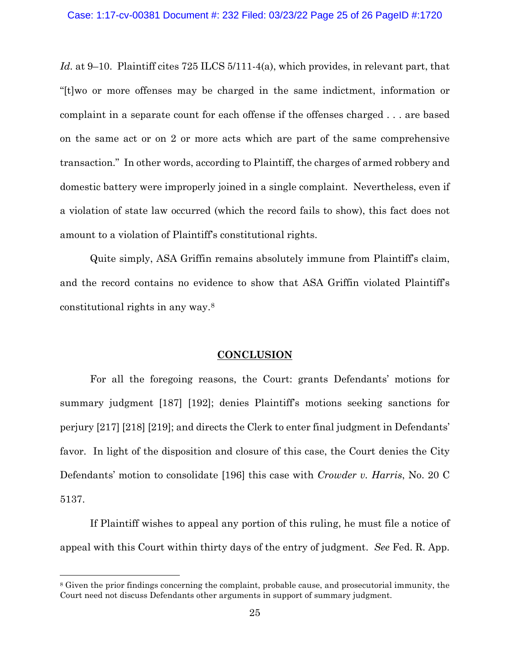*Id.* at 9–10. Plaintiff cites 725 ILCS 5/111-4(a), which provides, in relevant part, that "[t]wo or more offenses may be charged in the same indictment, information or complaint in a separate count for each offense if the offenses charged . . . are based on the same act or on 2 or more acts which are part of the same comprehensive transaction." In other words, according to Plaintiff, the charges of armed robbery and domestic battery were improperly joined in a single complaint. Nevertheless, even if a violation of state law occurred (which the record fails to show), this fact does not amount to a violation of Plaintiff's constitutional rights.

Quite simply, ASA Griffin remains absolutely immune from Plaintiff's claim, and the record contains no evidence to show that ASA Griffin violated Plaintiff's constitutional rights in any way.[8](#page-24-0)

### **CONCLUSION**

For all the foregoing reasons, the Court: grants Defendants' motions for summary judgment [187] [192]; denies Plaintiff's motions seeking sanctions for perjury [217] [218] [219]; and directs the Clerk to enter final judgment in Defendants' favor. In light of the disposition and closure of this case, the Court denies the City Defendants' motion to consolidate [196] this case with *Crowder v. Harris*, No. 20 C 5137.

If Plaintiff wishes to appeal any portion of this ruling, he must file a notice of appeal with this Court within thirty days of the entry of judgment. *See* Fed. R. App.

<span id="page-24-0"></span><sup>8</sup> Given the prior findings concerning the complaint, probable cause, and prosecutorial immunity, the Court need not discuss Defendants other arguments in support of summary judgment.